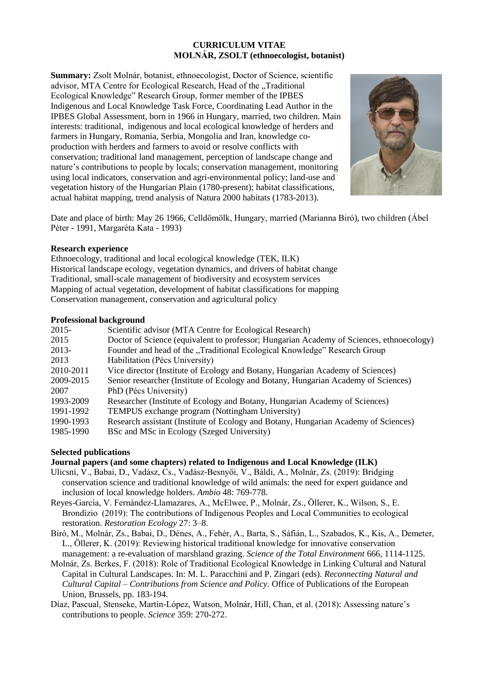# **CURRICULUM VITAE MOLNÁR, ZSOLT (ethnoecologist, botanist)**

**Summary:** Zsolt Molnár, botanist, ethnoecologist, Doctor of Science, scientific advisor, MTA Centre for Ecological Research, Head of the "Traditional Ecological Knowledge" Research Group, former member of the IPBES Indigenous and Local Knowledge Task Force, Coordinating Lead Author in the IPBES Global Assessment, born in 1966 in Hungary, married, two children. Main interests: traditional, indigenous and local ecological knowledge of herders and farmers in Hungary, Romania, Serbia, Mongolia and Iran, knowledge coproduction with herders and farmers to avoid or resolve conflicts with conservation; traditional land management, perception of landscape change and nature's contributions to people by locals; conservation management, monitoring using local indicators, conservation and agri-environmental policy; land-use and vegetation history of the Hungarian Plain (1780-present); habitat classifications, actual habitat mapping, trend analysis of Natura 2000 habitats (1783-2013).



Date and place of birth: May 26 1966, Celldömölk, Hungary, married (Marianna Biró), two children (Ábel Péter - 1991, Margaréta Kata - 1993)

### **Research experience**

Ethnoecology, traditional and local ecological knowledge (TEK, ILK) Historical landscape ecology, vegetation dynamics, and drivers of habitat change Traditional, small-scale management of biodiversity and ecosystem services Mapping of actual vegetation, development of habitat classifications for mapping Conservation management, conservation and agricultural policy

# **Professional background**

| 2015-     | Scientific advisor (MTA Centre for Ecological Research)                                  |
|-----------|------------------------------------------------------------------------------------------|
| 2015      | Doctor of Science (equivalent to professor; Hungarian Academy of Sciences, ethnoecology) |
| 2013-     | Founder and head of the "Traditional Ecological Knowledge" Research Group                |
| 2013      | Habilitation (Pécs University)                                                           |
| 2010-2011 | Vice director (Institute of Ecology and Botany, Hungarian Academy of Sciences)           |
| 2009-2015 | Senior researcher (Institute of Ecology and Botany, Hungarian Academy of Sciences)       |
| 2007      | PhD (Pécs University)                                                                    |
| 1993-2009 | Researcher (Institute of Ecology and Botany, Hungarian Academy of Sciences)              |
| 1991-1992 | TEMPUS exchange program (Nottingham University)                                          |
| 1990-1993 | Research assistant (Institute of Ecology and Botany, Hungarian Academy of Sciences)      |
| 1985-1990 | BSc and MSc in Ecology (Szeged University)                                               |
|           |                                                                                          |

# **Selected publications**

# **Journal papers (and some chapters) related to Indigenous and Local Knowledge (ILK)**

- Ulicsni, V., Babai, D., Vadász, Cs., Vadász-Besnyői, V., Báldi, A., Molnár, Zs. (2019): Bridging conservation science and traditional knowledge of wild animals: the need for expert guidance and inclusion of local knowledge holders. *Ambio* 48: 769-778.
- Reyes-García, V. Fernández-Llamazares, A., McElwee, P., Molnár, Zs., Öllerer, K., Wilson, S., E. Brondízio (2019): The contributions of Indigenous Peoples and Local Communities to ecological restoration. *Restoration Ecology* 27: 3–8.
- Biró, M., Molnár, Zs., Babai, D., Dénes, A., Fehér, A., Barta, S., Sáfián, L., Szabados, K., Kis, A., Demeter, L., Öllerer, K. (2019): Reviewing historical traditional knowledge for innovative conservation management: a re-evaluation of marshland grazing. *Science of the Total Environment* 666, 1114-1125.
- Molnár, Zs. Berkes, F. (2018): Role of Traditional Ecological Knowledge in Linking Cultural and Natural Capital in Cultural Landscapes. In: M. L. Paracchini and P. Zingari (eds). *Reconnecting Natural and Cultural Capital – Contributions from Science and Policy.* Office of Publications of the European Union, Brussels, pp. 183-194.
- Díaz, Pascual, Stenseke, Martín-López, Watson, Molnár, Hill, Chan, et al. (2018): Assessing nature's contributions to people. *Science* 359: 270-272.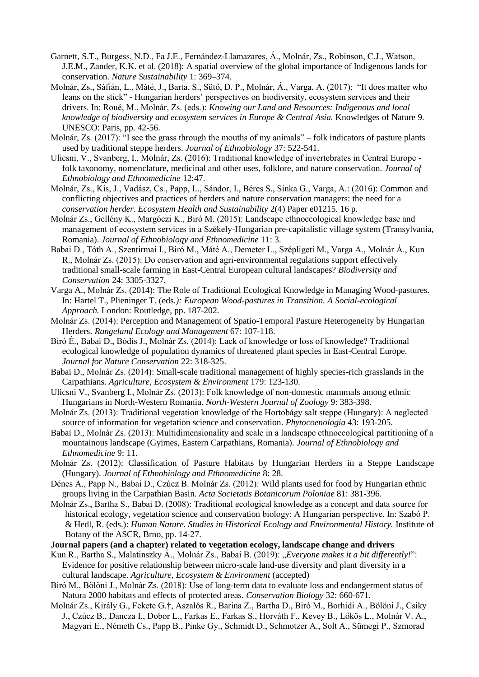- Garnett, S.T., Burgess, N.D., Fa J.E., Fernández-Llamazares, Á., Molnár, Zs., Robinson, C.J., Watson, J.E.M., Zander, K.K. et al. (2018): A spatial overview of the global importance of Indigenous lands for conservation. *Nature Sustainability* 1: 369–374.
- Molnár, Zs., Sáfián, L., Máté, J., Barta, S., Sütő, D. P., Molnár, Á., Varga, A. (2017): "It does matter who leans on the stick" - Hungarian herders' perspectives on biodiversity, ecosystem services and their drivers. In: Roué, M., Molnár, Zs. (eds.): *Knowing our Land and Resources: Indigenous and local knowledge of biodiversity and ecosystem services in Europe & Central Asia.* Knowledges of Nature 9. UNESCO: Paris, pp. 42-56.
- Molnár, Zs. (2017): "I see the grass through the mouths of my animals" folk indicators of pasture plants used by traditional steppe herders. *Journal of Ethnobiology* 37: 522-541.
- Ulicsni, V., Svanberg, I., Molnár, Zs. (2016): Traditional knowledge of invertebrates in Central Europe folk taxonomy, nomenclature, medicinal and other uses, folklore, and nature conservation. *Journal of Ethnobiology and Ethnomedicine* 12:47.
- Molnár, Zs., Kis, J., Vadász, Cs., Papp, L., Sándor, I., Béres S., Sinka G., Varga, A.: (2016): Common and conflicting objectives and practices of herders and nature conservation managers: the need for a *conservation herder*. *Ecosystem Health and Sustainability* 2(4) Paper e01215. 16 p.
- Molnár Zs., Gellény K., Margóczi K., Biró M. (2015): Landscape ethnoecological knowledge base and management of ecosystem services in a Székely-Hungarian pre-capitalistic village system (Transylvania, Romania). *Journal of Ethnobiology and Ethnomedicine* 11: 3.
- Babai D., Tóth A., Szentirmai I., Biró M., Máté A., Demeter L., Szépligeti M., Varga A., Molnár Á., Kun R., Molnár Zs. (2015): Do conservation and agri-environmental regulations support effectively traditional small-scale farming in East-Central European cultural landscapes? *Biodiversity and Conservation* 24: 3305-3327.
- Varga A., Molnár Zs. (2014): The Role of Traditional Ecological Knowledge in Managing Wood-pastures. In: Hartel T., Plieninger T. (eds*.): European Wood-pastures in Transition. A Social-ecological Approach.* London: Routledge, pp. 187-202.
- Molnár Zs. (2014): Perception and Management of Spatio-Temporal Pasture Heterogeneity by Hungarian Herders. *Rangeland Ecology and Management* 67: 107-118.
- Biró É., Babai D., Bódis J., Molnár Zs. (2014): Lack of knowledge or loss of knowledge? Traditional ecological knowledge of population dynamics of threatened plant species in East-Central Europe. *Journal for Nature Conservation* 22: 318-325.
- Babai D., Molnár Zs. (2014): Small-scale traditional management of highly species-rich grasslands in the Carpathians. *Agriculture, Ecosystem & Environment* 179: 123-130.
- Ulicsni V., Svanberg I., Molnár Zs. (2013): Folk knowledge of non-domestic mammals among ethnic Hungarians in North-Western Romania. *North-Western Journal of Zoology* 9: 383-398.
- Molnár Zs. (2013): Traditional vegetation knowledge of the Hortobágy salt steppe (Hungary): A neglected source of information for vegetation science and conservation. *Phytocoenologia* 43: 193-205.
- Babai D., Molnár Zs. (2013): Multidimensionality and scale in a landscape ethnoecological partitioning of a mountainous landscape (Gyimes, Eastern Carpathians, Romania). *Journal of Ethnobiology and Ethnomedicine* 9: 11.
- Molnár Zs. (2012): Classification of Pasture Habitats by Hungarian Herders in a Steppe Landscape (Hungary). *Journal of Ethnobiology and Ethnomedicine* 8: 28.
- Dénes A., Papp N., Babai D., Czúcz B. Molnár Zs. (2012): Wild plants used for food by Hungarian ethnic groups living in the Carpathian Basin. *Acta Societatis Botanicorum Poloniae* 81: 381-396.
- Molnár Zs., Bartha S., Babai D. (2008): Traditional ecological knowledge as a concept and data source for historical ecology, vegetation science and conservation biology: A Hungarian perspective. In: Szabó P. & Hedl, R. (eds.): *Human Nature. Studies in Historical Ecology and Environmental History.* Institute of Botany of the ASCR, Brno, pp. 14-27.
- **Journal papers (and a chapter) related to vegetation ecology, landscape change and drivers**
- Kun R., Bartha S., Malatinszky Á., Molnár Zs., Babai B. (2019): "Everyone makes it a bit differently!": Evidence for positive relationship between micro-scale land-use diversity and plant diversity in a cultural landscape. *Agriculture, Ecosystem & Environment* (accepted)
- Biró M., Bölöni J., Molnár Zs. (2018): Use of long-term data to evaluate loss and endangerment status of Natura 2000 habitats and effects of protected areas. *Conservation Biology* 32: 660-671.
- Molnár Zs., Király G., Fekete G.†, Aszalós R., Barina Z., Bartha D., Biró M., Borhidi A., Bölöni J., Csiky J., Czúcz B., Dancza I., Dobor L., Farkas E., Farkas S., Horváth F., Kevey B., Lőkös L., Molnár V. A., Magyari E., Németh Cs., Papp B., Pinke Gy., Schmidt D., Schmotzer A., Solt A., Sümegi P., Szmorad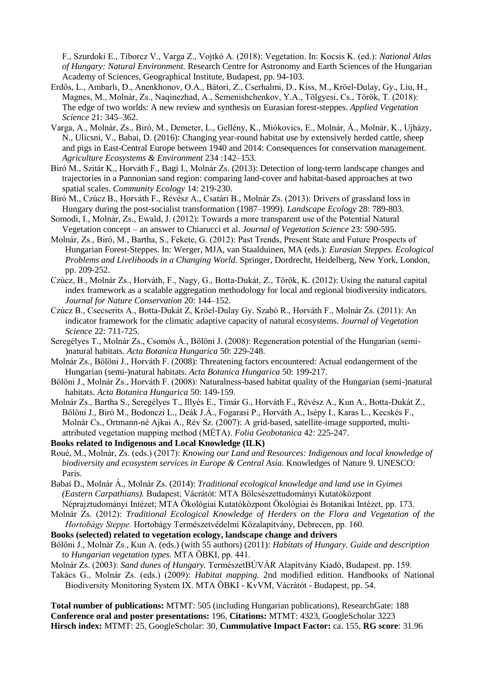F., Szurdoki E., Tiborcz V., Varga Z., Vojtkó A. (2018): Vegetation. In: Kocsis K. (ed.): *National Atlas of Hungary: Natural Environment.* Research Centre for Astronomy and Earth Sciences of the Hungarian Academy of Sciences, Geographical Institute, Budapest, pp. 94-103.

- Erdős, L., Ambarlı, D., Anenkhonov, O.A., Bátori, Z., Cserhalmi, D., Kiss, M., Kröel-Dulay, Gy., Liu, H., Magnes, M., Molnár, Zs., Naqinezhad, A., Semenishchenkov, Y.A., Tölgyesi, Cs., Török, T. (2018): The edge of two worlds: A new review and synthesis on Eurasian forest-steppes. *Applied Vegetation Science* 21: 345–362.
- Varga, A., Molnár, Zs., Biró, M., Demeter, L., Gellény, K., Miókovics, E., Molnár, Á., Molnár, K., Ujházy, N., Ulicsni, V., Babai, D. (2016): Changing year-round habitat use by extensively herded cattle, sheep and pigs in East-Central Europe between 1940 and 2014: Consequences for conservation management. *Agriculture Ecosystems & Environment* 234 :142–153.
- Biró M., Szitár K., Horváth F., Bagi I., Molnár Zs. (2013): Detection of long-term landscape changes and trajectories in a Pannonian sand region: comparing land-cover and habitat-based approaches at two spatial scales. *Community Ecology* 14: 219-230.
- Biró M., Czúcz B., Horváth F., Révész A., Csatári B., Molnár Zs. (2013): Drivers of grassland loss in Hungary during the post-socialist transformation (1987–1999). *Landscape Ecology* 28: 789-803.
- Somodi, I., Molnár, Zs., Ewald, J. (2012): Towards a more transparent use of the Potential Natural Vegetation concept – an answer to Chiarucci et al. *Journal of Vegetation Science* 23: 590-595.
- Molnár, Zs., Biró, M., Bartha, S., Fekete, G. (2012): Past Trends, Present State and Future Prospects of Hungarian Forest-Steppes. In: Werger, MJA, van Staalduinen, MA (eds.): *Eurasian Steppes. Ecological Problems and Livelihoods in a Changing World.* Springer, Dordrecht, Heidelberg, New York, London, pp. 209-252.
- Czúcz, B., Molnár Zs., Horváth, F., Nagy, G., Botta-Dukát, Z., Török, K. (2012): Using the natural capital index framework as a scalable aggregation methodology for local and regional biodiversity indicators. *Journal for Nature Conservation* 20: 144–152.
- Czúcz B., Csecserits A., Botta-Dukát Z, Kröel-Dulay Gy. Szabó R., Horváth F., Molnár Zs. (2011): An indicator framework for the climatic adaptive capacity of natural ecosystems. *Journal of Vegetation Science* 22: 711-725.
- Seregélyes T., Molnár Zs., Csomós Á., Bölöni J. (2008): Regeneration potential of the Hungarian (semi- )natural habitats. *Acta Botanica Hungarica* 50: 229-248.
- Molnár Zs., Bölöni J., Horváth F. (2008): Threatening factors encountered: Actual endangerment of the Hungarian (semi-)natural habitats. *Acta Botanica Hungarica* 50: 199-217.
- Bölöni J., Molnár Zs., Horváth F. (2008): Naturalness-based habitat quality of the Hungarian (semi-)natural habitats. *Acta Botanica Hungarica* 50: 149-159.
- Molnár Zs., Bartha S., Seregélyes T., Illyés E., Tímár G., Horváth F., Révész A., Kun A., Botta-Dukát Z., Bölöni J., Biró M., Bodonczi L., Deák J.Á., Fogarasi P., Horváth A., Isépy I., Karas L., Kecskés F., Molnár Cs., Ortmann-né Ajkai A., Rév Sz. (2007): A grid-based, satellite-image supported, multiattributed vegetation mapping method (MÉTA). *Folia Geobotanica* 42: 225-247.
- **Books related to Indigenous and Local Knowledge (ILK)**
- Roué, M., Molnár, Zs. (eds.) (2017): *Knowing our Land and Resources: Indigenous and local knowledge of biodiversity and ecosystem services in Europe & Central Asia.* Knowledges of Nature 9. UNESCO: Paris.
- Babai D., Molnár Á., Molnár Zs. (2014): *Traditional ecological knowledge and land use in Gyimes (Eastern Carpathians).* Budapest; Vácrátót: MTA Bölcsészettudományi Kutatóközpont
- Néprajztudományi Intézet; MTA Ökológiai Kutatóközpont Ökológiai és Botanikai Intézet, pp. 173. Molnár Zs. (2012): *Traditional Ecological Knowledge of Herders on the Flora and Vegetation of the*
- *Hortobágy Steppe.* Hortobágy Természetvédelmi Közalapítvány, Debrecen, pp. 160.
- **Books (selected) related to vegetation ecology, landscape change and drivers**
- Bölöni J., Molnár Zs., Kun A. (eds.) (with 55 authors) (2011): *Habitats of Hungary. Guide and description to Hungarian vegetation types.* MTA ÖBKI, pp. 441.
- Molnár Zs. (2003): *Sand dunes of Hungary.* TermészetBÚVÁR Alapítvány Kiadó, Budapest. pp. 159.
- Takács G., Molnár Zs. (eds.) (2009): *Habitat mapping.* 2nd modified edition. Handbooks of National Biodiversity Monitoring System IX. MTA ÖBKI - KvVM, Vácrátót - Budapest, pp. 54.

**Total number of publications:** MTMT: 505 (including Hungarian publications), ResearchGate: 188 **Conference oral and poster presentations:** 196, **Citations:** MTMT: 4323, GoogleScholar 3223 **Hirsch index:** MTMT: 25, GoogleScholar: 30, **Cummulative Impact Factor:** ca. 155, **RG score**: 31.96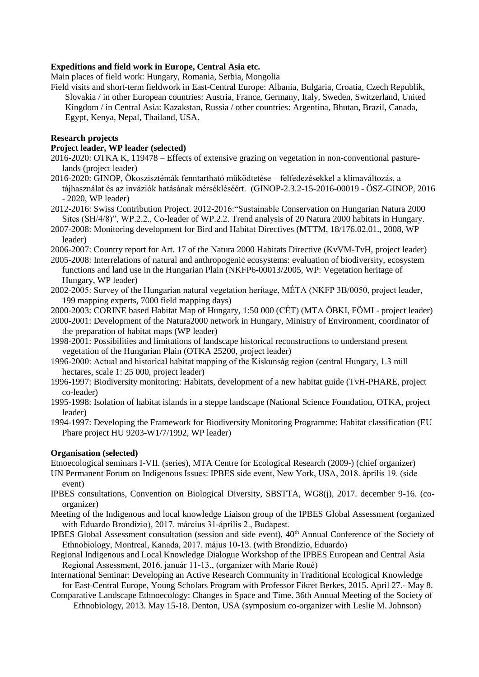### **Expeditions and field work in Europe, Central Asia etc.**

Main places of field work: Hungary, Romania, Serbia, Mongolia

Field visits and short-term fieldwork in East-Central Europe: Albania, Bulgaria, Croatia, Czech Republik, Slovakia / in other European countries: Austria, France, Germany, Italy, Sweden, Switzerland, United Kingdom / in Central Asia: Kazakstan, Russia / other countries: Argentina, Bhutan, Brazil, Canada, Egypt, Kenya, Nepal, Thailand, USA.

### **Research projects**

#### **Project leader, WP leader (selected)**

- 2016-2020: OTKA K, 119478 Effects of extensive grazing on vegetation in non-conventional pasturelands (project leader)
- 2016-2020: GINOP, Ökoszisztémák fenntartható működtetése felfedezésekkel a klímaváltozás, a tájhasználat és az inváziók hatásának mérsékléséért. (GINOP-2.3.2-15-2016-00019 - ÖSZ-GINOP, 2016 - 2020, WP leader)
- 2012-2016: Swiss Contribution Project. 2012-2016:"Sustainable Conservation on Hungarian Natura 2000 Sites (SH/4/8)", WP.2.2., Co-leader of WP.2.2. Trend analysis of 20 Natura 2000 habitats in Hungary.
- 2007-2008: Monitoring development for Bird and Habitat Directives (MTTM, 18/176.02.01., 2008, WP leader)
- 2006-2007: Country report for Art. 17 of the Natura 2000 Habitats Directive (KvVM-TvH, project leader)
- 2005-2008: Interrelations of natural and anthropogenic ecosystems: evaluation of biodiversity, ecosystem functions and land use in the Hungarian Plain (NKFP6-00013/2005, WP: Vegetation heritage of Hungary, WP leader)
- 2002-2005: Survey of the Hungarian natural vegetation heritage, MÉTA (NKFP 3B/0050, project leader, 199 mapping experts, 7000 field mapping days)
- 2000-2003: CORINE based Habitat Map of Hungary, 1:50 000 (CÉT) (MTA ÖBKI, FÖMI project leader)
- 2000-2001: Development of the Natura2000 network in Hungary, Ministry of Environment, coordinator of the preparation of habitat maps (WP leader)
- 1998-2001: Possibilities and limitations of landscape historical reconstructions to understand present vegetation of the Hungarian Plain (OTKA 25200, project leader)
- 1996-2000: Actual and historical habitat mapping of the Kiskunság region (central Hungary, 1.3 mill hectares, scale 1: 25 000, project leader)
- 1996-1997: Biodiversity monitoring: Habitats, development of a new habitat guide (TvH-PHARE, project co-leader)
- 1995-1998: Isolation of habitat islands in a steppe landscape (National Science Foundation, OTKA, project leader)
- 1994-1997: Developing the Framework for Biodiversity Monitoring Programme: Habitat classification (EU Phare project HU 9203-W1/7/1992, WP leader)

### **Organisation (selected)**

Etnoecological seminars I-VII. (series), MTA Centre for Ecological Research (2009-) (chief organizer)

- UN Permanent Forum on Indigenous Issues: IPBES side event, New York, USA, 2018. április 19. (side event)
- IPBES consultations, Convention on Biological Diversity, SBSTTA, WG8(j), 2017. december 9-16. (coorganizer)
- Meeting of the Indigenous and local knowledge Liaison group of the IPBES Global Assessment (organized with Eduardo Brondízio), 2017. március 31-április 2., Budapest.
- IPBES Global Assessment consultation (session and side event), 40<sup>th</sup> Annual Conference of the Society of Ethnobiology, Montreal, Kanada, 2017. május 10-13. (with Brondízio, Eduardo)
- Regional Indigenous and Local Knowledge Dialogue Workshop of the IPBES European and Central Asia Regional Assessment, 2016. január 11-13., (organizer with Marie Roué)
- International Seminar: Developing an Active Research Community in Traditional Ecological Knowledge for East-Central Europe, Young Scholars Program with Professor Fikret Berkes, 2015. April 27.- May 8.
- [Comparative Landscape Ethnoecology: Changes in Space and Time.](http://ethnobiology.org/comparative-landscape-ethnoecology-changes-space-and-time) 36th Annual Meeting of the Society of Ethnobiology, 2013. May 15-18. Denton, USA (symposium co-organizer with Leslie M. Johnson)